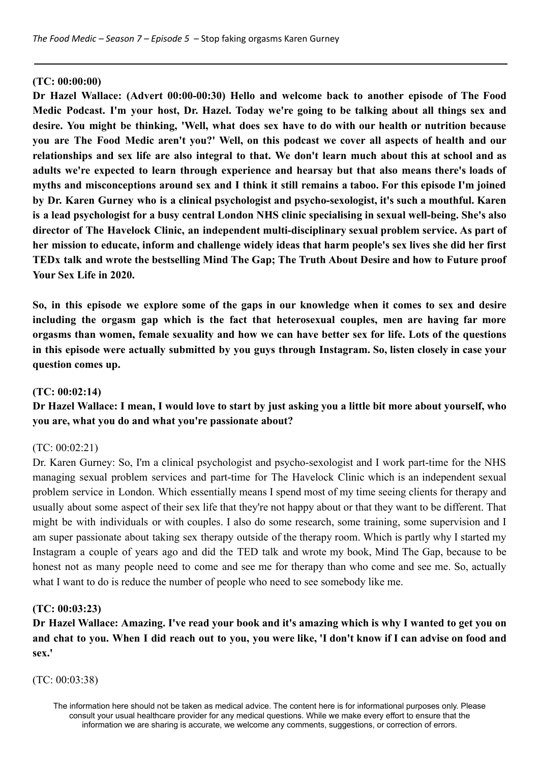#### **(TC: 00:00:00)**

**Dr Hazel Wallace: (Advert 00:00-00:30) Hello and welcome back to another episode of The Food Medic Podcast. I'm your host, Dr. Hazel. Today we're going to be talking about all things sex and** desire. You might be thinking, 'Well, what does sex have to do with our health or nutrition because you are The Food Medic aren't you?' Well, on this podcast we cover all aspects of health and our relationships and sex life are also integral to that. We don't learn much about this at school and as **adults we're expected to learn through experience and hearsay but that also means there's loads of** myths and misconceptions around sex and I think it still remains a taboo. For this episode I'm ioined **by Dr. Karen Gurney who is a clinical psychologist and psycho-sexologist, it's such a mouthful. Karen is a lead psychologist for a busy central London NHS clinic specialising in sexual well-being. She's also director of The Havelock Clinic, an independent multi-disciplinary sexual problem service. As part of** her mission to educate, inform and challenge widely ideas that harm people's sex lives she did her first **TEDx talk and wrote the bestselling Mind The Gap; The Truth About Desire and how to Future proof Your Sex Life in 2020.**

So, in this episode we explore some of the gaps in our knowledge when it comes to sex and desire **including the orgasm gap which is the fact that heterosexual couples, men are having far more** orgasms than women, female sexuality and how we can have better sex for life. Lots of the questions **in this episode were actually submitted by you guys through Instagram. So, listen closely in case your question comes up.**

## **(TC: 00:02:14)**

# Dr Hazel Wallace: I mean, I would love to start by just asking you a little bit more about yourself, who **you are, what you do and what you're passionate about?**

## (TC: 00:02:21)

Dr. Karen Gurney: So, I'm a clinical psychologist and psycho-sexologist and I work part-time for the NHS managing sexual problem services and part-time for The Havelock Clinic which is an independent sexual problem service in London. Which essentially means I spend most of my time seeing clients for therapy and usually about some aspect of their sex life that they're not happy about or that they want to be different. That might be with individuals or with couples. I also do some research, some training, some supervision and I am super passionate about taking sex therapy outside of the therapy room. Which is partly why I started my Instagram a couple of years ago and did the TED talk and wrote my book, Mind The Gap, because to be honest not as many people need to come and see me for therapy than who come and see me. So, actually what I want to do is reduce the number of people who need to see somebody like me.

#### **(TC: 00:03:23)**

Dr Hazel Wallace: Amazing. I've read your book and it's amazing which is why I wanted to get you on and chat to you. When I did reach out to you, you were like, 'I don't know if I can advise on food and **sex.'**

(TC: 00:03:38)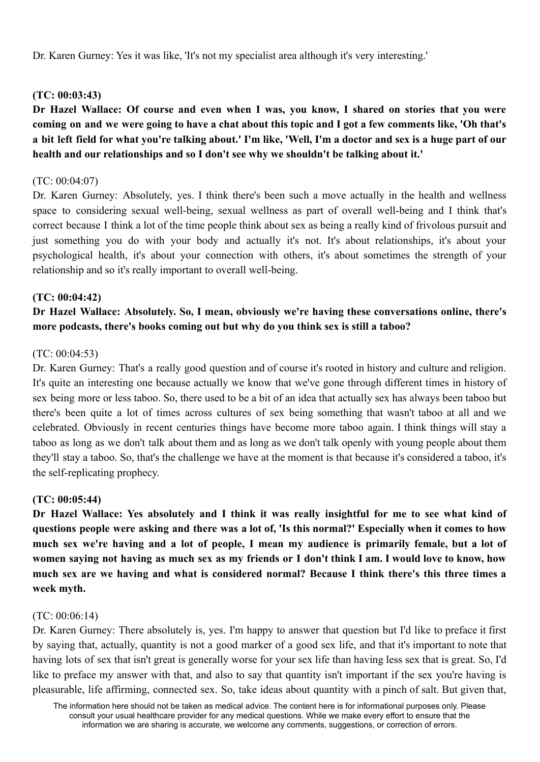Dr. Karen Gurney: Yes it was like, 'It's not my specialist area although it's very interesting.'

# **(TC: 00:03:43)**

Dr Hazel Wallace: Of course and even when I was, you know, I shared on stories that you were coming on and we were going to have a chat about this topic and I got a few comments like, 'Oh that's a bit left field for what you're talking about.' I'm like, 'Well, I'm a doctor and sex is a huge part of our **health and our relationships and so I don't see why we shouldn't be talking about it.'**

# (TC: 00:04:07)

Dr. Karen Gurney: Absolutely, yes. I think there's been such a move actually in the health and wellness space to considering sexual well-being, sexual wellness as part of overall well-being and I think that's correct because I think a lot of the time people think about sex as being a really kind of frivolous pursuit and just something you do with your body and actually it's not. It's about relationships, it's about your psychological health, it's about your connection with others, it's about sometimes the strength of your relationship and so it's really important to overall well-being.

## **(TC: 00:04:42)**

# **Dr Hazel Wallace: Absolutely. So, I mean, obviously we're having these conversations online, there's more podcasts, there's books coming out but why do you think sex is still a taboo?**

## (TC: 00:04:53)

Dr. Karen Gurney: That's a really good question and of course it's rooted in history and culture and religion. It's quite an interesting one because actually we know that we've gone through different times in history of sex being more or less taboo. So, there used to be a bit of an idea that actually sex has always been taboo but there's been quite a lot of times across cultures of sex being something that wasn't taboo at all and we celebrated. Obviously in recent centuries things have become more taboo again. I think things will stay a taboo as long as we don't talk about them and as long as we don't talk openly with young people about them they'll stay a taboo. So, that's the challenge we have at the moment is that because it's considered a taboo, it's the self-replicating prophecy.

# **(TC: 00:05:44)**

Dr Hazel Wallace: Yes absolutely and I think it was really insightful for me to see what kind of questions people were asking and there was a lot of, 'Is this normal?' Especially when it comes to how much sex we're having and a lot of people, I mean my audience is primarily female, but a lot of women saying not having as much sex as my friends or I don't think I am. I would love to know, how **much sex are we having and what is considered normal? Because I think there's this three times a week myth.**

## (TC: 00:06:14)

Dr. Karen Gurney: There absolutely is, yes. I'm happy to answer that question but I'd like to preface it first by saying that, actually, quantity is not a good marker of a good sex life, and that it's important to note that having lots of sex that isn't great is generally worse for your sex life than having less sex that is great. So, I'd like to preface my answer with that, and also to say that quantity isn't important if the sex you're having is pleasurable, life affirming, connected sex. So, take ideas about quantity with a pinch of salt. But given that,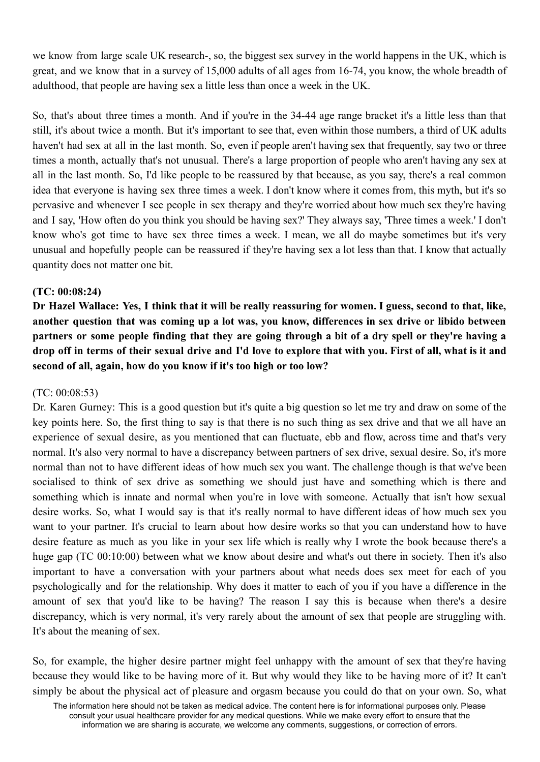we know from large scale UK research-, so, the biggest sex survey in the world happens in the UK, which is great, and we know that in a survey of 15,000 adults of all ages from 16-74, you know, the whole breadth of adulthood, that people are having sex a little less than once a week in the UK.

So, that's about three times a month. And if you're in the 34-44 age range bracket it's a little less than that still, it's about twice a month. But it's important to see that, even within those numbers, a third of UK adults haven't had sex at all in the last month. So, even if people aren't having sex that frequently, say two or three times a month, actually that's not unusual. There's a large proportion of people who aren't having any sex at all in the last month. So, I'd like people to be reassured by that because, as you say, there's a real common idea that everyone is having sex three times a week. I don't know where it comes from, this myth, but it's so pervasive and whenever I see people in sex therapy and they're worried about how much sex they're having and I say, 'How often do you think you should be having sex?' They always say, 'Three times a week.' I don't know who's got time to have sex three times a week. I mean, we all do maybe sometimes but it's very unusual and hopefully people can be reassured if they're having sex a lot less than that. I know that actually quantity does not matter one bit.

# **(TC: 00:08:24)**

Dr Hazel Wallace: Yes, I think that it will be really reassuring for women. I guess, second to that, like, another question that was coming up a lot was, you know, differences in sex drive or libido between partners or some people finding that they are going through a bit of a dry spell or they're having a drop off in terms of their sexual drive and I'd love to explore that with you. First of all, what is it and **second of all, again, how do you know if it's too high or too low?**

# (TC: 00:08:53)

Dr. Karen Gurney: This is a good question but it's quite a big question so let me try and draw on some of the key points here. So, the first thing to say is that there is no such thing as sex drive and that we all have an experience of sexual desire, as you mentioned that can fluctuate, ebb and flow, across time and that's very normal. It's also very normal to have a discrepancy between partners of sex drive, sexual desire. So, it's more normal than not to have different ideas of how much sex you want. The challenge though is that we've been socialised to think of sex drive as something we should just have and something which is there and something which is innate and normal when you're in love with someone. Actually that isn't how sexual desire works. So, what I would say is that it's really normal to have different ideas of how much sex you want to your partner. It's crucial to learn about how desire works so that you can understand how to have desire feature as much as you like in your sex life which is really why I wrote the book because there's a huge gap (TC 00:10:00) between what we know about desire and what's out there in society. Then it's also important to have a conversation with your partners about what needs does sex meet for each of you psychologically and for the relationship. Why does it matter to each of you if you have a difference in the amount of sex that you'd like to be having? The reason I say this is because when there's a desire discrepancy, which is very normal, it's very rarely about the amount of sex that people are struggling with. It's about the meaning of sex.

So, for example, the higher desire partner might feel unhappy with the amount of sex that they're having because they would like to be having more of it. But why would they like to be having more of it? It can't simply be about the physical act of pleasure and orgasm because you could do that on your own. So, what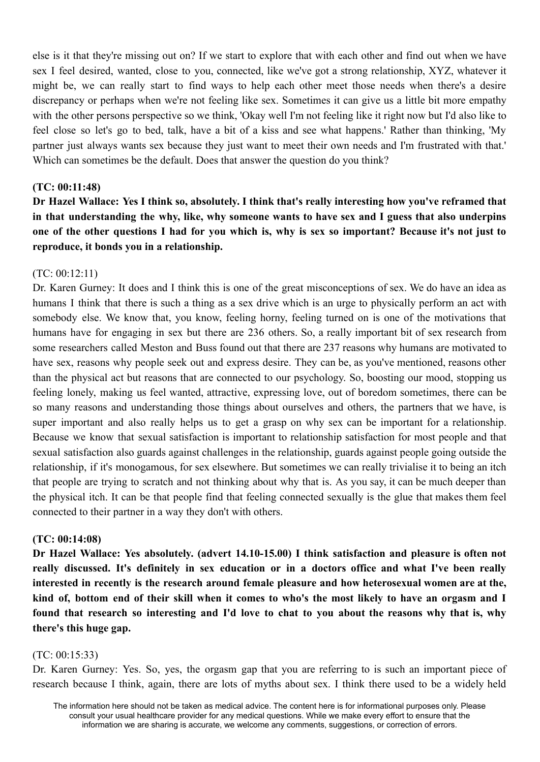else is it that they're missing out on? If we start to explore that with each other and find out when we have sex I feel desired, wanted, close to you, connected, like we've got a strong relationship, XYZ, whatever it might be, we can really start to find ways to help each other meet those needs when there's a desire discrepancy or perhaps when we're not feeling like sex. Sometimes it can give us a little bit more empathy with the other persons perspective so we think, 'Okay well I'm not feeling like it right now but I'd also like to feel close so let's go to bed, talk, have a bit of a kiss and see what happens.' Rather than thinking, 'My partner just always wants sex because they just want to meet their own needs and I'm frustrated with that.' Which can sometimes be the default. Does that answer the question do you think?

#### **(TC: 00:11:48)**

**Dr Hazel Wallace: Yes I think so, absolutely. I think that's really interesting how you've reframed that in that understanding the why, like, why someone wants to have sex and I guess that also underpins** one of the other questions I had for you which is, why is sex so important? Because it's not just to **reproduce, it bonds you in a relationship.**

## (TC: 00:12:11)

Dr. Karen Gurney: It does and I think this is one of the great misconceptions of sex. We do have an idea as humans I think that there is such a thing as a sex drive which is an urge to physically perform an act with somebody else. We know that, you know, feeling horny, feeling turned on is one of the motivations that humans have for engaging in sex but there are 236 others. So, a really important bit of sex research from some researchers called Meston and Buss found out that there are 237 reasons why humans are motivated to have sex, reasons why people seek out and express desire. They can be, as you've mentioned, reasons other than the physical act but reasons that are connected to our psychology. So, boosting our mood, stopping us feeling lonely, making us feel wanted, attractive, expressing love, out of boredom sometimes, there can be so many reasons and understanding those things about ourselves and others, the partners that we have, is super important and also really helps us to get a grasp on why sex can be important for a relationship. Because we know that sexual satisfaction is important to relationship satisfaction for most people and that sexual satisfaction also guards against challenges in the relationship, guards against people going outside the relationship, if it's monogamous, for sex elsewhere. But sometimes we can really trivialise it to being an itch that people are trying to scratch and not thinking about why that is. As you say, it can be much deeper than the physical itch. It can be that people find that feeling connected sexually is the glue that makes them feel connected to their partner in a way they don't with others.

## **(TC: 00:14:08)**

**Dr Hazel Wallace: Yes absolutely. (advert 14.10-15.00) I think satisfaction and pleasure is often not really discussed. It's definitely in sex education or in a doctors office and what I've been really interested in recently is the research around female pleasure and how heterosexual women are at the,** kind of, bottom end of their skill when it comes to who's the most likely to have an orgasm and I found that research so interesting and I'd love to chat to you about the reasons why that is, why **there's this huge gap.**

#### (TC: 00:15:33)

Dr. Karen Gurney: Yes. So, yes, the orgasm gap that you are referring to is such an important piece of research because I think, again, there are lots of myths about sex. I think there used to be a widely held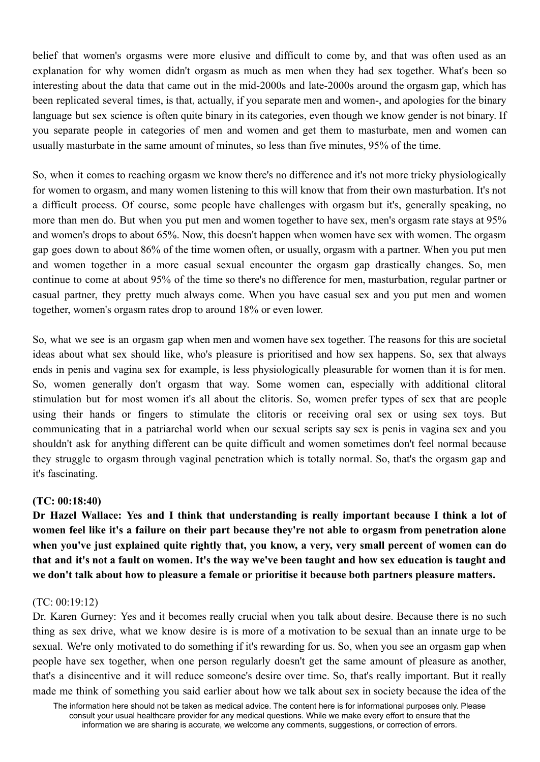belief that women's orgasms were more elusive and difficult to come by, and that was often used as an explanation for why women didn't orgasm as much as men when they had sex together. What's been so interesting about the data that came out in the mid-2000s and late-2000s around the orgasm gap, which has been replicated several times, is that, actually, if you separate men and women-, and apologies for the binary language but sex science is often quite binary in its categories, even though we know gender is not binary. If you separate people in categories of men and women and get them to masturbate, men and women can usually masturbate in the same amount of minutes, so less than five minutes, 95% of the time.

So, when it comes to reaching orgasm we know there's no difference and it's not more tricky physiologically for women to orgasm, and many women listening to this will know that from their own masturbation. It's not a difficult process. Of course, some people have challenges with orgasm but it's, generally speaking, no more than men do. But when you put men and women together to have sex, men's orgasm rate stays at 95% and women's drops to about 65%. Now, this doesn't happen when women have sex with women. The orgasm gap goes down to about 86% of the time women often, or usually, orgasm with a partner. When you put men and women together in a more casual sexual encounter the orgasm gap drastically changes. So, men continue to come at about 95% of the time so there's no difference for men, masturbation, regular partner or casual partner, they pretty much always come. When you have casual sex and you put men and women together, women's orgasm rates drop to around 18% or even lower.

So, what we see is an orgasm gap when men and women have sex together. The reasons for this are societal ideas about what sex should like, who's pleasure is prioritised and how sex happens. So, sex that always ends in penis and vagina sex for example, is less physiologically pleasurable for women than it is for men. So, women generally don't orgasm that way. Some women can, especially with additional clitoral stimulation but for most women it's all about the clitoris. So, women prefer types of sex that are people using their hands or fingers to stimulate the clitoris or receiving oral sex or using sex toys. But communicating that in a patriarchal world when our sexual scripts say sex is penis in vagina sex and you shouldn't ask for anything different can be quite difficult and women sometimes don't feel normal because they struggle to orgasm through vaginal penetration which is totally normal. So, that's the orgasm gap and it's fascinating.

## **(TC: 00:18:40)**

**Dr Hazel Wallace: Yes and I think that understanding is really important because I think a lot of** women feel like it's a failure on their part because they're not able to orgasm from penetration alone when you've just explained quite rightly that, you know, a very, very small percent of women can do that and it's not a fault on women. It's the way we've been taught and how sex education is taught and **we don't talk about how to pleasure a female or prioritise it because both partners pleasure matters.**

## (TC: 00:19:12)

Dr. Karen Gurney: Yes and it becomes really crucial when you talk about desire. Because there is no such thing as sex drive, what we know desire is is more of a motivation to be sexual than an innate urge to be sexual. We're only motivated to do something if it's rewarding for us. So, when you see an orgasm gap when people have sex together, when one person regularly doesn't get the same amount of pleasure as another, that's a disincentive and it will reduce someone's desire over time. So, that's really important. But it really made me think of something you said earlier about how we talk about sex in society because the idea of the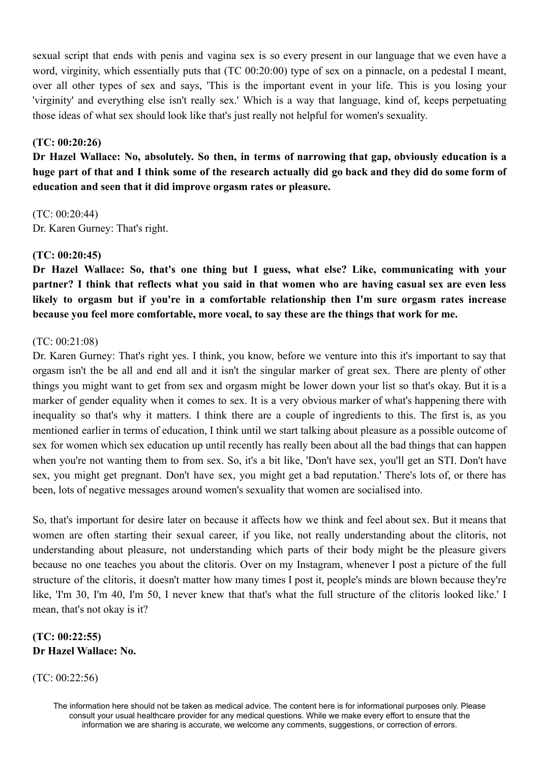sexual script that ends with penis and vagina sex is so every present in our language that we even have a word, virginity, which essentially puts that (TC 00:20:00) type of sex on a pinnacle, on a pedestal I meant, over all other types of sex and says, 'This is the important event in your life. This is you losing your 'virginity' and everything else isn't really sex.' Which is a way that language, kind of, keeps perpetuating those ideas of what sex should look like that's just really not helpful for women's sexuality.

# **(TC: 00:20:26)**

**Dr Hazel Wallace: No, absolutely. So then, in terms of narrowing that gap, obviously education is a** huge part of that and I think some of the research actually did go back and they did do some form of **education and seen that it did improve orgasm rates or pleasure.**

 $(TC: 00.20.44)$ Dr. Karen Gurney: That's right.

## **(TC: 00:20:45)**

**Dr Hazel Wallace: So, that's one thing but I guess, what else? Like, communicating with your** partner? I think that reflects what you said in that women who are having casual sex are even less **likely to orgasm but if you're in a comfortable relationship then I'm sure orgasm rates increase because you feel more comfortable, more vocal, to say these are the things that work for me.**

## (TC: 00:21:08)

Dr. Karen Gurney: That's right yes. I think, you know, before we venture into this it's important to say that orgasm isn't the be all and end all and it isn't the singular marker of great sex. There are plenty of other things you might want to get from sex and orgasm might be lower down your list so that's okay. But it is a marker of gender equality when it comes to sex. It is a very obvious marker of what's happening there with inequality so that's why it matters. I think there are a couple of ingredients to this. The first is, as you mentioned earlier in terms of education, I think until we start talking about pleasure as a possible outcome of sex for women which sex education up until recently has really been about all the bad things that can happen when you're not wanting them to from sex. So, it's a bit like, 'Don't have sex, you'll get an STI. Don't have sex, you might get pregnant. Don't have sex, you might get a bad reputation.' There's lots of, or there has been, lots of negative messages around women's sexuality that women are socialised into.

So, that's important for desire later on because it affects how we think and feel about sex. But it means that women are often starting their sexual career, if you like, not really understanding about the clitoris, not understanding about pleasure, not understanding which parts of their body might be the pleasure givers because no one teaches you about the clitoris. Over on my Instagram, whenever I post a picture of the full structure of the clitoris, it doesn't matter how many times I post it, people's minds are blown because they're like, 'I'm 30, I'm 40, I'm 50, I never knew that that's what the full structure of the clitoris looked like.' I mean, that's not okay is it?

# **(TC: 00:22:55) Dr Hazel Wallace: No.**

## (TC: 00:22:56)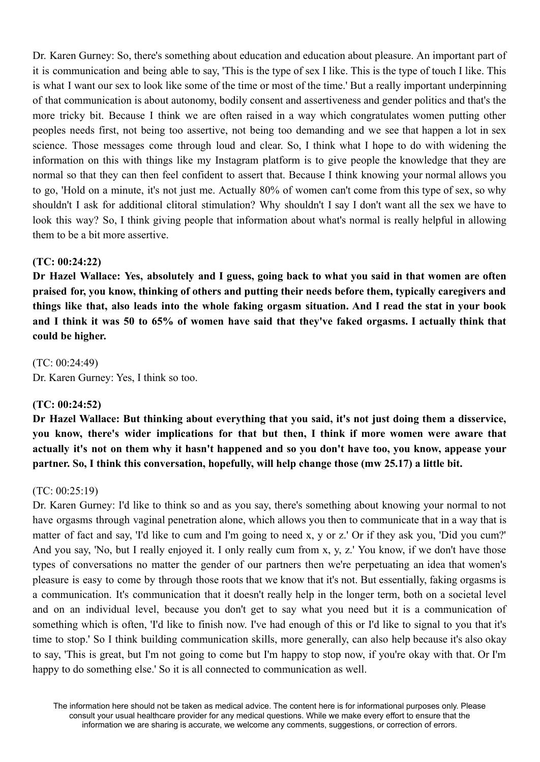Dr. Karen Gurney: So, there's something about education and education about pleasure. An important part of it is communication and being able to say, 'This is the type of sex I like. This is the type of touch I like. This is what I want our sex to look like some of the time or most of the time.' But a really important underpinning of that communication is about autonomy, bodily consent and assertiveness and gender politics and that's the more tricky bit. Because I think we are often raised in a way which congratulates women putting other peoples needs first, not being too assertive, not being too demanding and we see that happen a lot in sex science. Those messages come through loud and clear. So, I think what I hope to do with widening the information on this with things like my Instagram platform is to give people the knowledge that they are normal so that they can then feel confident to assert that. Because I think knowing your normal allows you to go, 'Hold on a minute, it's not just me. Actually 80% of women can't come from this type of sex, so why shouldn't I ask for additional clitoral stimulation? Why shouldn't I say I don't want all the sex we have to look this way? So, I think giving people that information about what's normal is really helpful in allowing them to be a bit more assertive.

## **(TC: 00:24:22)**

Dr Hazel Wallace: Yes, absolutely and I guess, going back to what you said in that women are often **praised for, you know, thinking of others and putting their needs before them, typically caregivers and** things like that, also leads into the whole faking orgasm situation. And I read the stat in your book and I think it was 50 to 65% of women have said that they've faked orgasms. I actually think that **could be higher.**

## (TC: 00:24:49)

Dr. Karen Gurney: Yes, I think so too.

## **(TC: 00:24:52)**

**Dr Hazel Wallace: But thinking about everything that you said, it's not just doing them a disservice, you know, there's wider implications for that but then, I think if more women were aware that** actually it's not on them why it hasn't happened and so you don't have too, you know, appease your **partner. So, I think this conversation, hopefully, will help change those (mw 25.17) a little bit.**

## (TC: 00:25:19)

Dr. Karen Gurney: I'd like to think so and as you say, there's something about knowing your normal to not have orgasms through vaginal penetration alone, which allows you then to communicate that in a way that is matter of fact and say, 'I'd like to cum and I'm going to need x, y or z.' Or if they ask you, 'Did you cum?' And you say, 'No, but I really enjoyed it. I only really cum from x, y, z.' You know, if we don't have those types of conversations no matter the gender of our partners then we're perpetuating an idea that women's pleasure is easy to come by through those roots that we know that it's not. But essentially, faking orgasms is a communication. It's communication that it doesn't really help in the longer term, both on a societal level and on an individual level, because you don't get to say what you need but it is a communication of something which is often, 'I'd like to finish now. I've had enough of this or I'd like to signal to you that it's time to stop.' So I think building communication skills, more generally, can also help because it's also okay to say, 'This is great, but I'm not going to come but I'm happy to stop now, if you're okay with that. Or I'm happy to do something else.' So it is all connected to communication as well.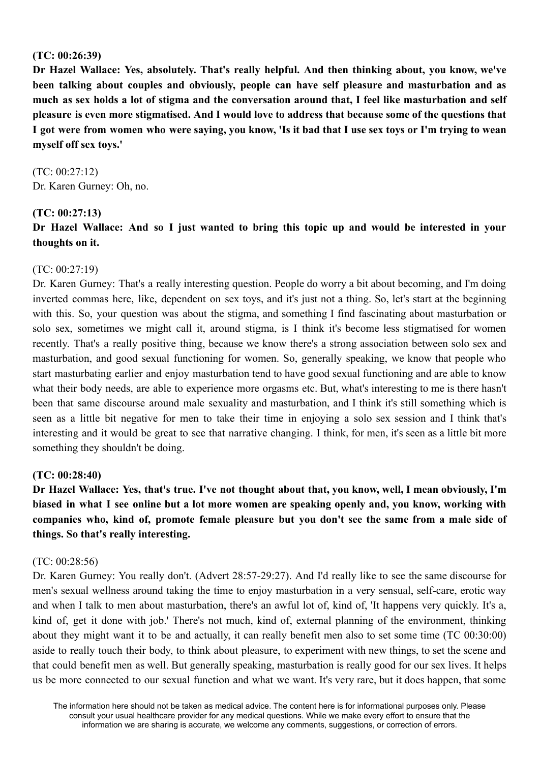## **(TC: 00:26:39)**

**Dr Hazel Wallace: Yes, absolutely. That's really helpful. And then thinking about, you know, we've been talking about couples and obviously, people can have self pleasure and masturbation and as** much as sex holds a lot of stigma and the conversation around that. I feel like masturbation and self pleasure is even more stigmatised. And I would love to address that because some of the questions that I got were from women who were saying, you know, 'Is it bad that I use sex toys or I'm trying to wean **myself off sex toys.'**

(TC: 00:27:12) Dr. Karen Gurney: Oh, no.

## **(TC: 00:27:13)**

Dr Hazel Wallace: And so I just wanted to bring this topic up and would be interested in your **thoughts on it.**

# (TC: 00:27:19)

Dr. Karen Gurney: That's a really interesting question. People do worry a bit about becoming, and I'm doing inverted commas here, like, dependent on sex toys, and it's just not a thing. So, let's start at the beginning with this. So, your question was about the stigma, and something I find fascinating about masturbation or solo sex, sometimes we might call it, around stigma, is I think it's become less stigmatised for women recently. That's a really positive thing, because we know there's a strong association between solo sex and masturbation, and good sexual functioning for women. So, generally speaking, we know that people who start masturbating earlier and enjoy masturbation tend to have good sexual functioning and are able to know what their body needs, are able to experience more orgasms etc. But, what's interesting to me is there hasn't been that same discourse around male sexuality and masturbation, and I think it's still something which is seen as a little bit negative for men to take their time in enjoying a solo sex session and I think that's interesting and it would be great to see that narrative changing. I think, for men, it's seen as a little bit more something they shouldn't be doing.

# **(TC: 00:28:40)**

Dr Hazel Wallace: Yes, that's true. I've not thought about that, you know, well, I mean obviously, I'm biased in what I see online but a lot more women are speaking openly and, you know, working with **companies who, kind of, promote female pleasure but you don't see the same from a male side of things. So that's really interesting.**

## (TC: 00:28:56)

Dr. Karen Gurney: You really don't. (Advert 28:57-29:27). And I'd really like to see the same discourse for men's sexual wellness around taking the time to enjoy masturbation in a very sensual, self-care, erotic way and when I talk to men about masturbation, there's an awful lot of, kind of, 'It happens very quickly. It's a, kind of, get it done with job.' There's not much, kind of, external planning of the environment, thinking about they might want it to be and actually, it can really benefit men also to set some time (TC 00:30:00) aside to really touch their body, to think about pleasure, to experiment with new things, to set the scene and that could benefit men as well. But generally speaking, masturbation is really good for our sex lives. It helps us be more connected to our sexual function and what we want. It's very rare, but it does happen, that some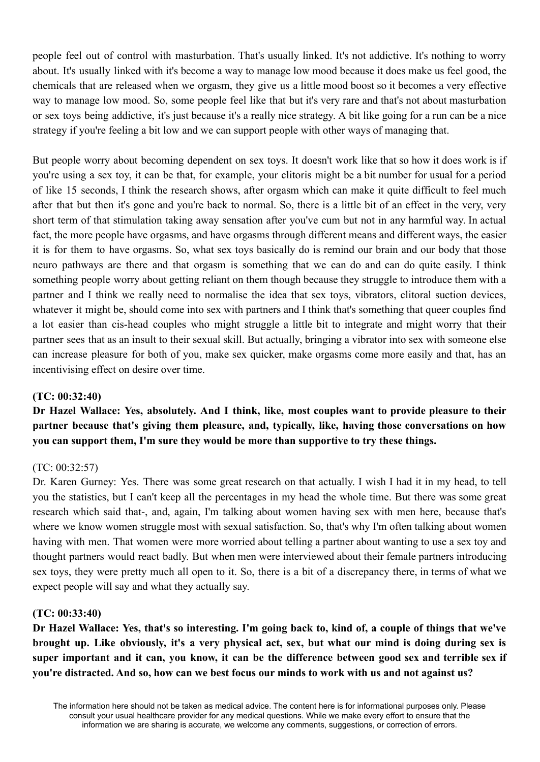people feel out of control with masturbation. That's usually linked. It's not addictive. It's nothing to worry about. It's usually linked with it's become a way to manage low mood because it does make us feel good, the chemicals that are released when we orgasm, they give us a little mood boost so it becomes a very effective way to manage low mood. So, some people feel like that but it's very rare and that's not about masturbation or sex toys being addictive, it's just because it's a really nice strategy. A bit like going for a run can be a nice strategy if you're feeling a bit low and we can support people with other ways of managing that.

But people worry about becoming dependent on sex toys. It doesn't work like that so how it does work is if you're using a sex toy, it can be that, for example, your clitoris might be a bit number for usual for a period of like 15 seconds, I think the research shows, after orgasm which can make it quite difficult to feel much after that but then it's gone and you're back to normal. So, there is a little bit of an effect in the very, very short term of that stimulation taking away sensation after you've cum but not in any harmful way. In actual fact, the more people have orgasms, and have orgasms through different means and different ways, the easier it is for them to have orgasms. So, what sex toys basically do is remind our brain and our body that those neuro pathways are there and that orgasm is something that we can do and can do quite easily. I think something people worry about getting reliant on them though because they struggle to introduce them with a partner and I think we really need to normalise the idea that sex toys, vibrators, clitoral suction devices, whatever it might be, should come into sex with partners and I think that's something that queer couples find a lot easier than cis-head couples who might struggle a little bit to integrate and might worry that their partner sees that as an insult to their sexual skill. But actually, bringing a vibrator into sex with someone else can increase pleasure for both of you, make sex quicker, make orgasms come more easily and that, has an incentivising effect on desire over time.

# **(TC: 00:32:40)**

**Dr Hazel Wallace: Yes, absolutely. And I think, like, most couples want to provide pleasure to their partner because that's giving them pleasure, and, typically, like, having those conversations on how you can support them, I'm sure they would be more than supportive to try these things.**

## (TC: 00:32:57)

Dr. Karen Gurney: Yes. There was some great research on that actually. I wish I had it in my head, to tell you the statistics, but I can't keep all the percentages in my head the whole time. But there was some great research which said that-, and, again, I'm talking about women having sex with men here, because that's where we know women struggle most with sexual satisfaction. So, that's why I'm often talking about women having with men. That women were more worried about telling a partner about wanting to use a sex toy and thought partners would react badly. But when men were interviewed about their female partners introducing sex toys, they were pretty much all open to it. So, there is a bit of a discrepancy there, in terms of what we expect people will say and what they actually say.

## **(TC: 00:33:40)**

Dr Hazel Wallace: Yes, that's so interesting. I'm going back to, kind of, a couple of things that we've brought up. Like obviously, it's a very physical act, sex, but what our mind is doing during sex is super important and it can, you know, it can be the difference between good sex and terrible sex if **you're distracted. And so, how can we best focus our minds to work with us and not against us?**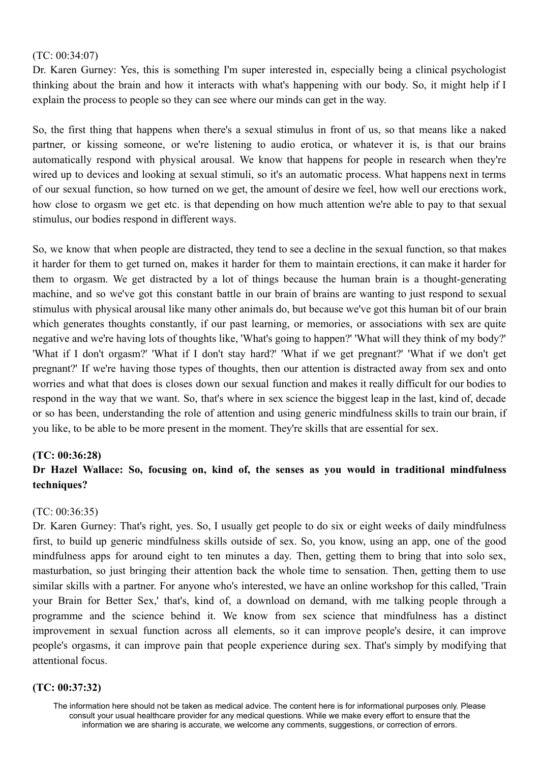## (TC: 00:34:07)

Dr. Karen Gurney: Yes, this is something I'm super interested in, especially being a clinical psychologist thinking about the brain and how it interacts with what's happening with our body. So, it might help if I explain the process to people so they can see where our minds can get in the way.

So, the first thing that happens when there's a sexual stimulus in front of us, so that means like a naked partner, or kissing someone, or we're listening to audio erotica, or whatever it is, is that our brains automatically respond with physical arousal. We know that happens for people in research when they're wired up to devices and looking at sexual stimuli, so it's an automatic process. What happens next in terms of our sexual function, so how turned on we get, the amount of desire we feel, how well our erections work, how close to orgasm we get etc. is that depending on how much attention we're able to pay to that sexual stimulus, our bodies respond in different ways.

So, we know that when people are distracted, they tend to see a decline in the sexual function, so that makes it harder for them to get turned on, makes it harder for them to maintain erections, it can make it harder for them to orgasm. We get distracted by a lot of things because the human brain is a thought-generating machine, and so we've got this constant battle in our brain of brains are wanting to just respond to sexual stimulus with physical arousal like many other animals do, but because we've got this human bit of our brain which generates thoughts constantly, if our past learning, or memories, or associations with sex are quite negative and we're having lots of thoughts like, 'What's going to happen?' 'What will they think of my body?' 'What if I don't orgasm?' 'What if I don't stay hard?' 'What if we get pregnant?' 'What if we don't get pregnant?' If we're having those types of thoughts, then our attention is distracted away from sex and onto worries and what that does is closes down our sexual function and makes it really difficult for our bodies to respond in the way that we want. So, that's where in sex science the biggest leap in the last, kind of, decade or so has been, understanding the role of attention and using generic mindfulness skills to train our brain, if you like, to be able to be more present in the moment. They're skills that are essential for sex.

## **(TC: 00:36:28)**

# **Dr Hazel Wallace: So, focusing on, kind of, the senses as you would in traditional mindfulness techniques?**

#### (TC: 00:36:35)

Dr. Karen Gurney: That's right, yes. So, I usually get people to do six or eight weeks of daily mindfulness first, to build up generic mindfulness skills outside of sex. So, you know, using an app, one of the good mindfulness apps for around eight to ten minutes a day. Then, getting them to bring that into solo sex, masturbation, so just bringing their attention back the whole time to sensation. Then, getting them to use similar skills with a partner. For anyone who's interested, we have an online workshop for this called, 'Train your Brain for Better Sex,' that's, kind of, a download on demand, with me talking people through a programme and the science behind it. We know from sex science that mindfulness has a distinct improvement in sexual function across all elements, so it can improve people's desire, it can improve people's orgasms, it can improve pain that people experience during sex. That's simply by modifying that attentional focus.

#### **(TC: 00:37:32)**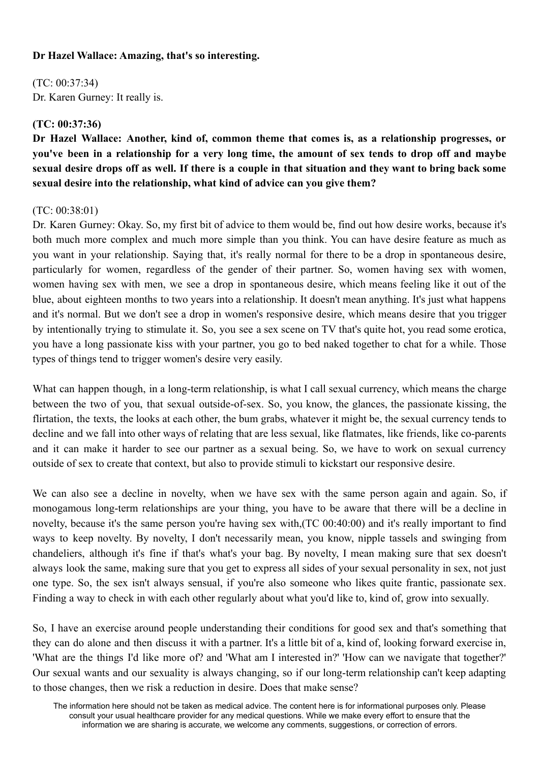# **Dr Hazel Wallace: Amazing, that's so interesting.**

(TC: 00:37:34) Dr. Karen Gurney: It really is.

# **(TC: 00:37:36)**

**Dr Hazel Wallace: Another, kind of, common theme that comes is, as a relationship progresses, or** you've been in a relationship for a very long time, the amount of sex tends to drop off and maybe sexual desire drops off as well. If there is a couple in that situation and they want to bring back some **sexual desire into the relationship, what kind of advice can you give them?**

## (TC: 00:38:01)

Dr. Karen Gurney: Okay. So, my first bit of advice to them would be, find out how desire works, because it's both much more complex and much more simple than you think. You can have desire feature as much as you want in your relationship. Saying that, it's really normal for there to be a drop in spontaneous desire, particularly for women, regardless of the gender of their partner. So, women having sex with women, women having sex with men, we see a drop in spontaneous desire, which means feeling like it out of the blue, about eighteen months to two years into a relationship. It doesn't mean anything. It's just what happens and it's normal. But we don't see a drop in women's responsive desire, which means desire that you trigger by intentionally trying to stimulate it. So, you see a sex scene on TV that's quite hot, you read some erotica, you have a long passionate kiss with your partner, you go to bed naked together to chat for a while. Those types of things tend to trigger women's desire very easily.

What can happen though, in a long-term relationship, is what I call sexual currency, which means the charge between the two of you, that sexual outside-of-sex. So, you know, the glances, the passionate kissing, the flirtation, the texts, the looks at each other, the bum grabs, whatever it might be, the sexual currency tends to decline and we fall into other ways of relating that are less sexual, like flatmates, like friends, like co-parents and it can make it harder to see our partner as a sexual being. So, we have to work on sexual currency outside of sex to create that context, but also to provide stimuli to kickstart our responsive desire.

We can also see a decline in novelty, when we have sex with the same person again and again. So, if monogamous long-term relationships are your thing, you have to be aware that there will be a decline in novelty, because it's the same person you're having sex with,(TC 00:40:00) and it's really important to find ways to keep novelty. By novelty, I don't necessarily mean, you know, nipple tassels and swinging from chandeliers, although it's fine if that's what's your bag. By novelty, I mean making sure that sex doesn't always look the same, making sure that you get to express all sides of your sexual personality in sex, not just one type. So, the sex isn't always sensual, if you're also someone who likes quite frantic, passionate sex. Finding a way to check in with each other regularly about what you'd like to, kind of, grow into sexually.

So, I have an exercise around people understanding their conditions for good sex and that's something that they can do alone and then discuss it with a partner. It's a little bit of a, kind of, looking forward exercise in, 'What are the things I'd like more of? and 'What am I interested in?' 'How can we navigate that together?' Our sexual wants and our sexuality is always changing, so if our long-term relationship can't keep adapting to those changes, then we risk a reduction in desire. Does that make sense?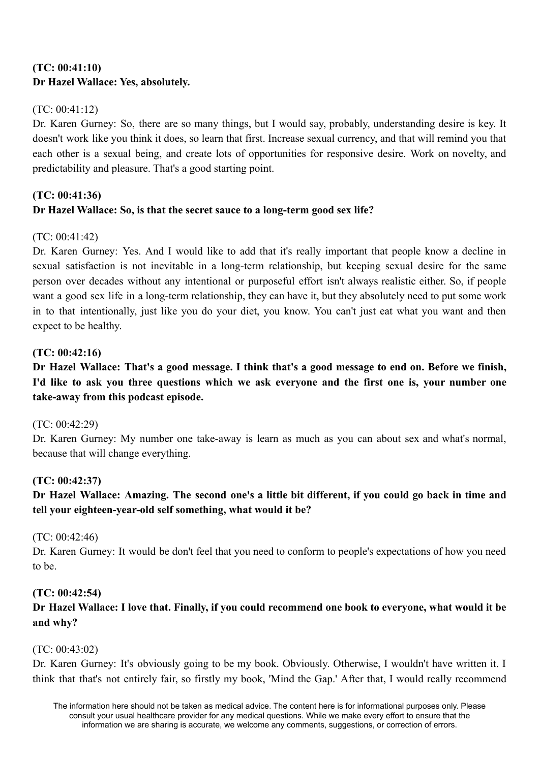# **(TC: 00:41:10) Dr Hazel Wallace: Yes, absolutely.**

# (TC: 00:41:12)

Dr. Karen Gurney: So, there are so many things, but I would say, probably, understanding desire is key. It doesn't work like you think it does, so learn that first. Increase sexual currency, and that will remind you that each other is a sexual being, and create lots of opportunities for responsive desire. Work on novelty, and predictability and pleasure. That's a good starting point.

# **(TC: 00:41:36) Dr Hazel Wallace: So, is that the secret sauce to a long-term good sex life?**

# $(TC: 00.41.42)$

Dr. Karen Gurney: Yes. And I would like to add that it's really important that people know a decline in sexual satisfaction is not inevitable in a long-term relationship, but keeping sexual desire for the same person over decades without any intentional or purposeful effort isn't always realistic either. So, if people want a good sex life in a long-term relationship, they can have it, but they absolutely need to put some work in to that intentionally, just like you do your diet, you know. You can't just eat what you want and then expect to be healthy.

# **(TC: 00:42:16)**

Dr Hazel Wallace: That's a good message. I think that's a good message to end on. Before we finish, I'd like to ask you three questions which we ask everyone and the first one is, your number one **take-away from this podcast episode.**

(TC: 00:42:29)

Dr. Karen Gurney: My number one take-away is learn as much as you can about sex and what's normal, because that will change everything.

# **(TC: 00:42:37)**

Dr Hazel Wallace: Amazing. The second one's a little bit different, if you could go back in time and **tell your eighteen-year-old self something, what would it be?**

# (TC: 00:42:46)

Dr. Karen Gurney: It would be don't feel that you need to conform to people's expectations of how you need to be.

# **(TC: 00:42:54)**

# Dr Hazel Wallace: I love that. Finally, if you could recommend one book to everyone, what would it be **and why?**

# (TC: 00:43:02)

Dr. Karen Gurney: It's obviously going to be my book. Obviously. Otherwise, I wouldn't have written it. I think that that's not entirely fair, so firstly my book, 'Mind the Gap.' After that, I would really recommend